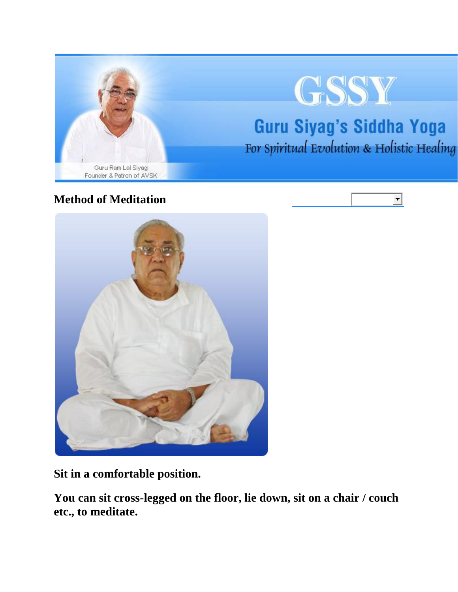

 $\overline{\phantom{a}}$ 

## **Method of Meditation**



**Sit in a comfortable position.**

**You can sit cross-legged on the floor, lie down, sit on a chair / couch etc., to meditate.**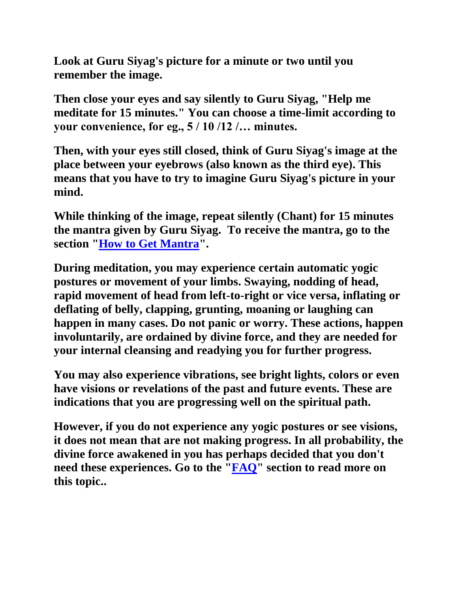**Look at Guru Siyag's picture for a minute or two until you remember the image.** 

**Then close your eyes and say silently to Guru Siyag, "Help me meditate for 15 minutes." You can choose a time-limit according to your convenience, for eg., 5 / 10 /12 /… minutes.** 

**Then, with your eyes still closed, think of Guru Siyag's image at the place between your eyebrows (also known as the third eye). This means that you have to try to imagine Guru Siyag's picture in your mind.**

**While thinking of the image, repeat silently (Chant) for 15 minutes the mantra given by Guru Siyag. To receive the mantra, go to the section ["How to Get Mantra"](http://www.the-comforter.org/How-to-get-manta.html).**

**During meditation, you may experience certain automatic yogic postures or movement of your limbs. Swaying, nodding of head, rapid movement of head from left-to-right or vice versa, inflating or deflating of belly, clapping, grunting, moaning or laughing can happen in many cases. Do not panic or worry. These actions, happen involuntarily, are ordained by divine force, and they are needed for your internal cleansing and readying you for further progress.** 

**You may also experience vibrations, see bright lights, colors or even have visions or revelations of the past and future events. These are indications that you are progressing well on the spiritual path.** 

**However, if you do not experience any yogic postures or see visions, it does not mean that are not making progress. In all probability, the divine force awakened in you has perhaps decided that you don't need these experiences. Go to the ["FAQ"](http://www.the-comforter.org/Questions_and_Answers.html) section to read more on this topic..**